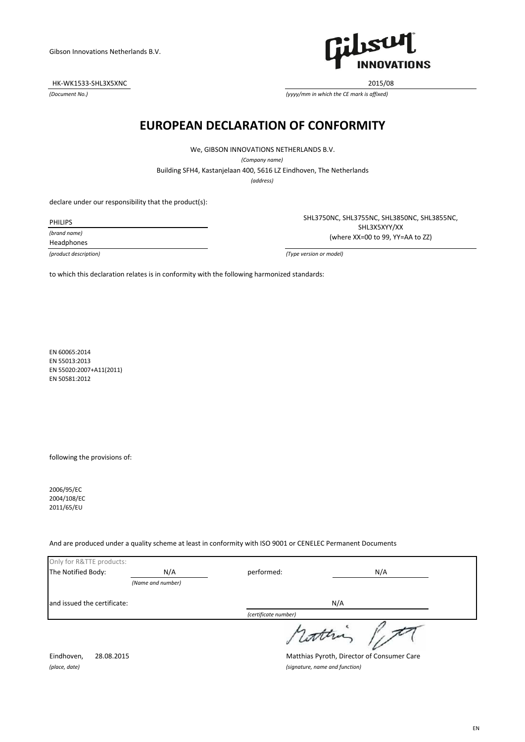HK-WK1533-SHL3X5XNC 2015/08

*(Document No.)*



*(yyyy/mm in which the CE mark is affixed)*

## **EUROPEAN DECLARATION OF CONFORMITY**

We, GIBSON INNOVATIONS NETHERLANDS B.V.

*(Company name)*

Building SFH4, Kastanjelaan 400, 5616 LZ Eindhoven, The Netherlands

*(address)*

declare under our responsibility that the product(s):

PHILIPS

*(brand name)*

Headphones

SHL3750NC, SHL3755NC, SHL3850NC, SHL3855NC, SHL3X5XYY/XX (where XX=00 to 99, YY=AA to ZZ)

*(product description) (Type version or model)*

to which this declaration relates is in conformity with the following harmonized standards:

EN 60065:2014 EN 55013:2013 EN 55020:2007+A11(2011) EN 50581:2012

following the provisions of:

2006/95/EC 2004/108/EC 2011/65/EU

And are produced under a quality scheme at least in conformity with ISO 9001 or CENELEC Permanent Documents

| Only for R&TTE products:    |                   |                                |                                            |
|-----------------------------|-------------------|--------------------------------|--------------------------------------------|
| The Notified Body:          | N/A               | performed:                     | N/A                                        |
|                             | (Name and number) |                                |                                            |
| and issued the certificate: |                   |                                | N/A                                        |
|                             |                   | (certificate number)           |                                            |
|                             |                   |                                |                                            |
| Eindhoven,<br>28.08.2015    |                   |                                | Matthias Pyroth, Director of Consumer Care |
| (place, date)               |                   | (signature, name and function) |                                            |

EN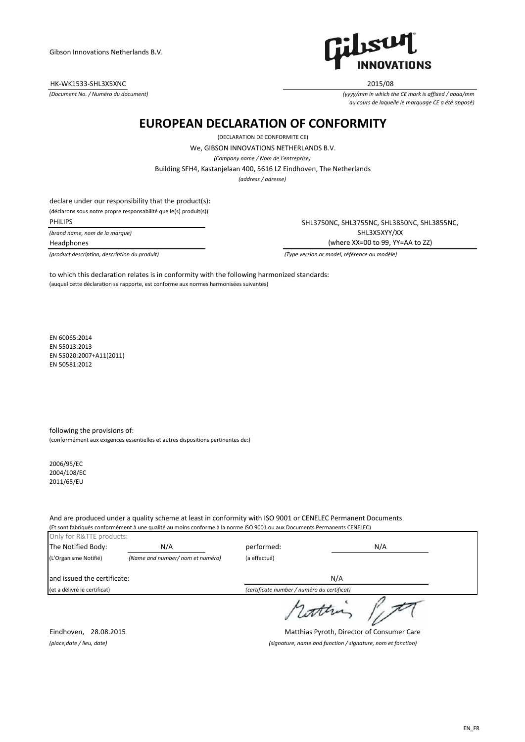HK-WK1533-SHL3X5XNC 2015/08

*(Document No. / Numéro du document)*



*(yyyy/mm in which the CE mark is affixed / aaaa/mm au cours de laquelle le marquage CE a été apposé)*

## **EUROPEAN DECLARATION OF CONFORMITY**

(DECLARATION DE CONFORMITE CE)

We, GIBSON INNOVATIONS NETHERLANDS B.V.

*(Company name / Nom de l'entreprise)*

Building SFH4, Kastanjelaan 400, 5616 LZ Eindhoven, The Netherlands

*(address / adresse)*

declare under our responsibility that the product(s): (déclarons sous notre propre responsabilité que le(s) produit(s))

PHILIPS

*(brand name, nom de la marque)* Headphones

SHL3750NC, SHL3755NC, SHL3850NC, SHL3855NC, SHL3X5XYY/XX (where XX=00 to 99, YY=AA to ZZ)

*(product description, description du produit) (Type version or model, référence ou modèle)*

(auquel cette déclaration se rapporte, est conforme aux normes harmonisées suivantes) to which this declaration relates is in conformity with the following harmonized standards:

EN 60065:2014 EN 55013:2013 EN 55020:2007+A11(2011) EN 50581:2012

following the provisions of: (conformément aux exigences essentielles et autres dispositions pertinentes de:)

2006/95/EC 2004/108/EC 2011/65/EU

And are produced under a quality scheme at least in conformity with ISO 9001 or CENELEC Permanent Documents (Et sont fabriqués conformément à une qualité au moins conforme à la norme ISO 9001 ou aux Documents Permanents CENELEC)

| Only for R&TTE products:     |                                  |                                             |     |
|------------------------------|----------------------------------|---------------------------------------------|-----|
| The Notified Body:           | N/A                              | performed:                                  | N/A |
| (L'Organisme Notifié)        | (Name and number/ nom et numéro) | (a effectué)                                |     |
| and issued the certificate:  |                                  |                                             | N/A |
| (et a délivré le certificat) |                                  | (certificate number / numéro du certificat) |     |
|                              |                                  |                                             |     |

Eindhoven, 28.08.2015 Matthias Pyroth, Director of Consumer Care *(place,date / lieu, date) (signature, name and function / signature, nom et fonction)*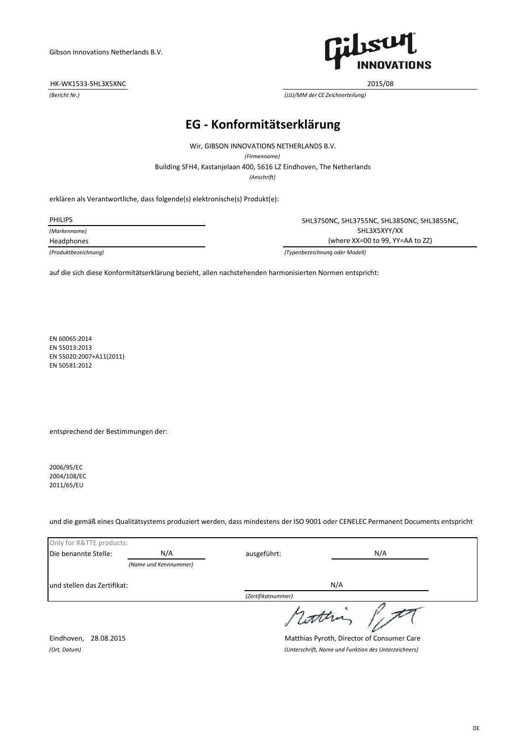## HK-WK1533-SHL3X5XNC 2015/08



*(Bericht Nr.) (JJJJ/MM der CE Zeichnerteilung)*

# **EG - Konformitätserklärung**

Wir, GIBSON INNOVATIONS NETHERLANDS B.V.

*(Firmenname)*

Building SFH4, Kastanjelaan 400, 5616 LZ Eindhoven, The Netherlands

*(Anschrift)*

erklären als Verantwortliche, dass folgende(s) elektronische(s) Produkt(e):

PHILIPS

*(Markenname)*

Headphones

SHL3750NC, SHL3755NC, SHL3850NC, SHL3855NC, SHL3X5XYY/XX (where XX=00 to 99, YY=AA to ZZ)

*(Produktbezeichnung) (Typenbezeichnung oder Modell)*

auf die sich diese Konformitätserklärung bezieht, allen nachstehenden harmonisierten Normen entspricht:

EN 60065:2014 EN 55013:2013 EN 55020:2007+A11(2011) EN 50581:2012

entsprechend der Bestimmungen der:

2006/95/EC 2004/108/EC 2011/65/EU

und die gemäß eines Qualitätsystems produziert werden, dass mindestens der ISO 9001 oder CENELEC Permanent Documents entspricht

| Only for R&TTE products:     |                       |                    |                                                                                                                                     |  |
|------------------------------|-----------------------|--------------------|-------------------------------------------------------------------------------------------------------------------------------------|--|
| Die benannte Stelle:         | N/A                   | ausgeführt:        | N/A                                                                                                                                 |  |
|                              | (Name und Kennnummer) |                    |                                                                                                                                     |  |
| lund stellen das Zertifikat: |                       |                    | N/A                                                                                                                                 |  |
|                              |                       | (Zertifikatnummer) |                                                                                                                                     |  |
| $F = 11$ $20.0034F$          |                       | , attera           | $\mathbf{A}$ and $\mathbf{A}$ and $\mathbf{A}$ and $\mathbf{A}$ and $\mathbf{A}$ and $\mathbf{A}$ and $\mathbf{A}$ and $\mathbf{A}$ |  |

Eindhoven, 28.08.2015 Matthias Pyroth, Director of Consumer Care *(Ort, Datum) (Unterschrift, Name und Funktion des Unterzeichners)*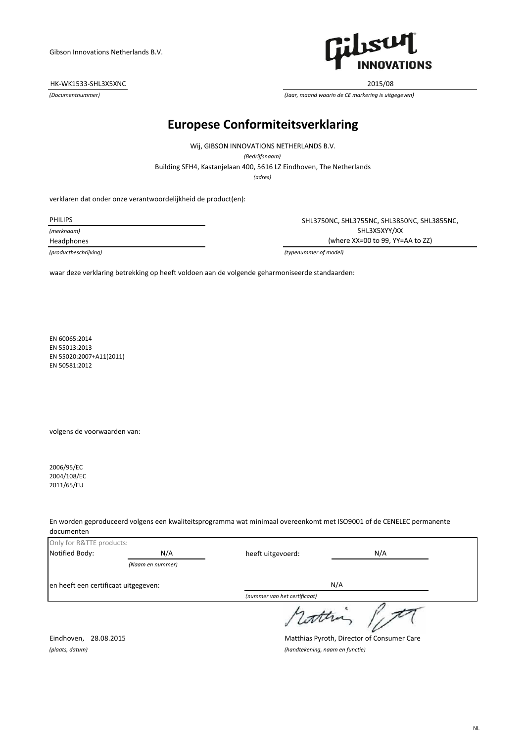## HK-WK1533-SHL3X5XNC 2015/08



*(Documentnummer) (Jaar, maand waarin de CE markering is uitgegeven)*

# **Europese Conformiteitsverklaring**

Wij, GIBSON INNOVATIONS NETHERLANDS B.V. *(Bedrijfsnaam)*

Building SFH4, Kastanjelaan 400, 5616 LZ Eindhoven, The Netherlands

*(adres)*

verklaren dat onder onze verantwoordelijkheid de product(en):

*(merknaam)*

PHILIPS SHL3750NC, SHL3755NC, SHL3850NC, SHL3855NC, SHL3X5XYY/XX Headphones (where XX=00 to 99, YY=AA to ZZ)

*(productbeschrijving) (typenummer of model)*

waar deze verklaring betrekking op heeft voldoen aan de volgende geharmoniseerde standaarden:

EN 60065:2014 EN 55013:2013 EN 55020:2007+A11(2011) EN 50581:2012

volgens de voorwaarden van:

2006/95/EC 2004/108/EC 2011/65/EU

En worden geproduceerd volgens een kwaliteitsprogramma wat minimaal overeenkomt met ISO9001 of de CENELEC permanente documenten

| Only for R&TTE products:             |                  |                              |     |  |
|--------------------------------------|------------------|------------------------------|-----|--|
| Notified Body:                       | N/A              | heeft uitgevoerd:            | N/A |  |
|                                      | (Naam en nummer) |                              |     |  |
| en heeft een certificaat uitgegeven: |                  |                              | N/A |  |
|                                      |                  | (nummer van het certificaat) |     |  |
|                                      |                  | s latter                     |     |  |

Eindhoven, 28.08.2015 Matthias Pyroth, Director of Consumer Care *(plaats, datum) (handtekening, naam en functie)*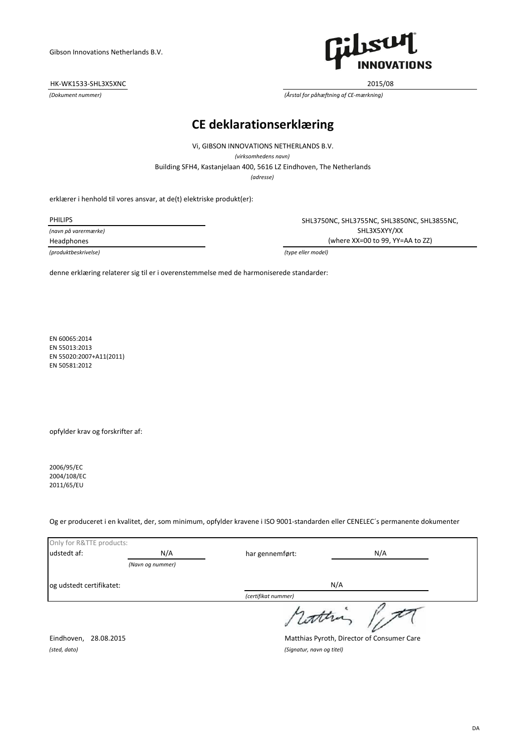## HK-WK1533-SHL3X5XNC 2015/08



*(Dokument nummer) (Årstal for påhæftning af CE-mærkning)*

# **CE deklarationserklæring**

Vi, GIBSON INNOVATIONS NETHERLANDS B.V. *(virksomhedens navn)*

Building SFH4, Kastanjelaan 400, 5616 LZ Eindhoven, The Netherlands

*(adresse)*

erklærer i henhold til vores ansvar, at de(t) elektriske produkt(er):

*(navn på varermærke)*

*(produktbeskrivelse) (type eller model)*

PHILIPS SHL3750NC, SHL3755NC, SHL3850NC, SHL3855NC, SHL3X5XYY/XX Headphones (where XX=00 to 99, YY=AA to ZZ)

denne erklæring relaterer sig til er i overenstemmelse med de harmoniserede standarder:

EN 60065:2014 EN 55013:2013 EN 55020:2007+A11(2011) EN 50581:2012

opfylder krav og forskrifter af:

2006/95/EC 2004/108/EC 2011/65/EU

Og er produceret i en kvalitet, der, som minimum, opfylder kravene i ISO 9001-standarden eller CENELEC´s permanente dokumenter

| Only for R&TTE products: |                  |                     |     |
|--------------------------|------------------|---------------------|-----|
| udstedt af:              | N/A              | har gennemført:     | N/A |
|                          | (Navn og nummer) |                     |     |
| og udstedt certifikatet: |                  |                     | N/A |
|                          |                  | (certifikat nummer) |     |
|                          |                  | rottin              |     |

*(sted, dato) (Signatur, navn og titel)*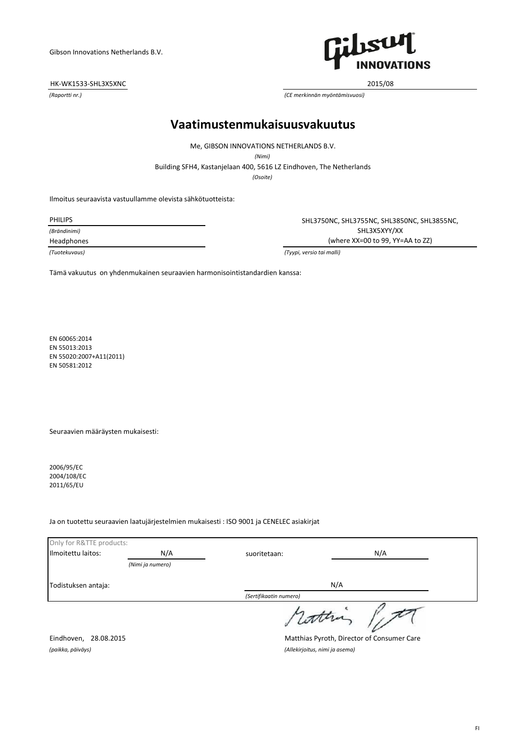## HK-WK1533-SHL3X5XNC 2015/08



*(Raportti nr.) (CE merkinnän myöntämisvuosi)*

## **Vaatimustenmukaisuusvakuutus**

Me, GIBSON INNOVATIONS NETHERLANDS B.V.

*(Nimi)*

Building SFH4, Kastanjelaan 400, 5616 LZ Eindhoven, The Netherlands

*(Osoite)*

Ilmoitus seuraavista vastuullamme olevista sähkötuotteista:

*(Brändinimi)*

PHILIPS SHL3750NC, SHL3755NC, SHL3850NC, SHL3855NC, SHL3X5XYY/XX Headphones (where XX=00 to 99, YY=AA to ZZ)

*(Tuotekuvaus) (Tyypi, versio tai malli)*

Tämä vakuutus on yhdenmukainen seuraavien harmonisointistandardien kanssa:

EN 60065:2014 EN 55013:2013 EN 55020:2007+A11(2011) EN 50581:2012

Seuraavien määräysten mukaisesti:

2006/95/EC 2004/108/EC 2011/65/EU

## Ja on tuotettu seuraavien laatujärjestelmien mukaisesti : ISO 9001 ja CENELEC asiakirjat

| Only for R&TTE products: |                  |                        |     |  |
|--------------------------|------------------|------------------------|-----|--|
| Ilmoitettu laitos:       | N/A              | suoritetaan:           | N/A |  |
|                          | (Nimi ja numero) |                        |     |  |
| Todistuksen antaja:      |                  |                        | N/A |  |
|                          |                  | (Sertifikaatin numero) |     |  |
|                          |                  | coon                   |     |  |

*(paikka, päiväys) (Allekirjoitus, nimi ja asema)*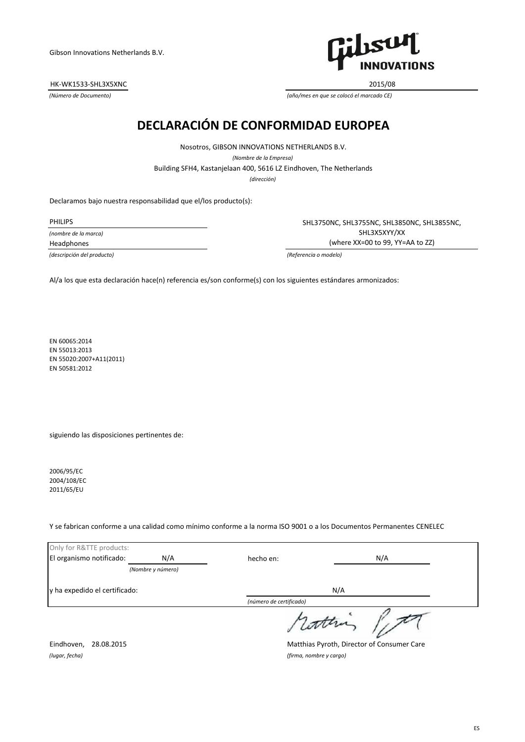HK-WK1533-SHL3X5XNC 2015/08



*(Número de Documento) (año/mes en que se colocó el marcado CE)*

# **DECLARACIÓN DE CONFORMIDAD EUROPEA**

*(dirección)* Building SFH4, Kastanjelaan 400, 5616 LZ Eindhoven, The Netherlands Nosotros, GIBSON INNOVATIONS NETHERLANDS B.V. *(Nombre de la Empresa)*

Declaramos bajo nuestra responsabilidad que el/los producto(s):

*(nombre de la marca)*

PHILIPS SHL3750NC, SHL3755NC, SHL3850NC, SHL3855NC, SHL3X5XYY/XX Headphones (where XX=00 to 99, YY=AA to ZZ)

*(descripción del producto) (Referencia o modelo)*

Al/a los que esta declaración hace(n) referencia es/son conforme(s) con los siguientes estándares armonizados:

EN 60065:2014 EN 55013:2013 EN 55020:2007+A11(2011) EN 50581:2012

siguiendo las disposiciones pertinentes de:

2006/95/EC 2004/108/EC 2011/65/EU

Y se fabrican conforme a una calidad como mínimo conforme a la norma ISO 9001 o a los Documentos Permanentes CENELEC

| Only for R&TTE products:      |                   |                         |     |
|-------------------------------|-------------------|-------------------------|-----|
| El organismo notificado:      | N/A               | hecho en:               | N/A |
|                               | (Nombre y número) |                         |     |
| y ha expedido el certificado: |                   |                         | N/A |
|                               |                   | (número de certificado) |     |
|                               |                   | statter                 |     |

Eindhoven, 28.08.2015 Matthias Pyroth, Director of Consumer Care

*(lugar, fecha) (firma, nombre y cargo)*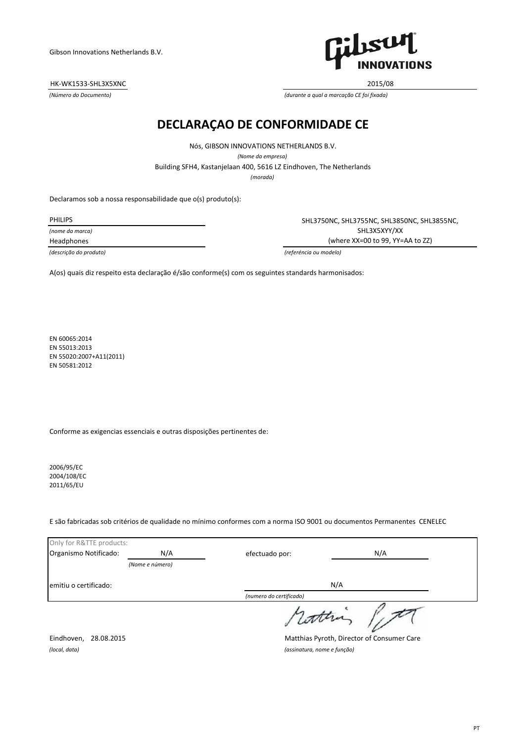## HK-WK1533-SHL3X5XNC 2015/08



*(Número do Documento) (durante a qual a marcação CE foi fixada)*

## **DECLARAÇAO DE CONFORMIDADE CE**

Nós, GIBSON INNOVATIONS NETHERLANDS B.V.

*(Nome da empresa)*

Building SFH4, Kastanjelaan 400, 5616 LZ Eindhoven, The Netherlands

*(morada)*

Declaramos sob a nossa responsabilidade que o(s) produto(s):

*(nome da marca)*

PHILIPS SHL3750NC, SHL3755NC, SHL3850NC, SHL3855NC, SHL3X5XYY/XX Headphones (where XX=00 to 99, YY=AA to ZZ)

*(descrição do produto) (referéncia ou modelo)*

A(os) quais diz respeito esta declaração é/são conforme(s) com os seguintes standards harmonisados:

EN 60065:2014 EN 55013:2013 EN 55020:2007+A11(2011) EN 50581:2012

Conforme as exigencias essenciais e outras disposições pertinentes de:

2006/95/EC 2004/108/EC 2011/65/EU

E são fabricadas sob critérios de qualidade no mínimo conformes com a norma ISO 9001 ou documentos Permanentes CENELEC

| Only for R&TTE products: |                 |                         |     |  |
|--------------------------|-----------------|-------------------------|-----|--|
| Organismo Notificado:    | N/A             | efectuado por:          | N/A |  |
|                          | (Nome e número) |                         |     |  |
| emitiu o certificado:    |                 |                         | N/A |  |
|                          |                 | (numero do certificado) |     |  |
|                          |                 | dathi                   |     |  |

Eindhoven, 28.08.2015 Matthias Pyroth, Director of Consumer Care

*(local, data) (assinatura, nome e função)*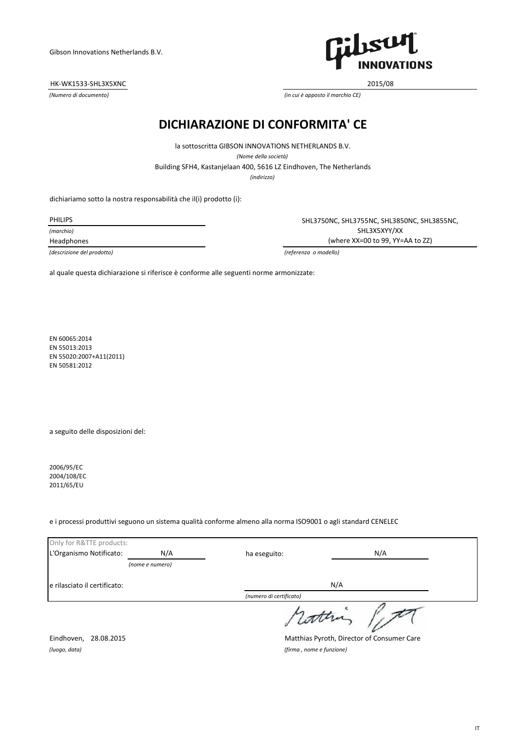HK-WK1533-SHL3X5XNC 2015/08



*(Numero di documento) (in cui è apposto il marchio CE)*

## **DICHIARAZIONE DI CONFORMITA' CE**

Building SFH4, Kastanjelaan 400, 5616 LZ Eindhoven, The Netherlands la sottoscritta GIBSON INNOVATIONS NETHERLANDS B.V. *(Nome della società)*

*(indirizzo)*

dichiariamo sotto la nostra responsabilità che il(i) prodotto (i):

PHILIPS

*(marchio)*

Headphones

SHL3750NC, SHL3755NC, SHL3850NC, SHL3855NC, SHL3X5XYY/XX (where XX=00 to 99, YY=AA to ZZ)

*(descrizione del prodotto) (referenza o modello)*

al quale questa dichiarazione si riferisce è conforme alle seguenti norme armonizzate:

EN 60065:2014 EN 55013:2013 EN 55020:2007+A11(2011) EN 50581:2012

a seguito delle disposizioni del:

2006/95/EC 2004/108/EC 2011/65/EU

e i processi produttivi seguono un sistema qualità conforme almeno alla norma ISO9001 o agli standard CENELEC

| Only for R&TTE products:     |                 |                         |     |  |
|------------------------------|-----------------|-------------------------|-----|--|
| L'Organismo Notificato:      | N/A             | ha eseguito:            | N/A |  |
|                              | (nome e numero) |                         |     |  |
| e rilasciato il certificato: |                 |                         | N/A |  |
|                              |                 | (numero di certificato) |     |  |
|                              |                 | statten                 |     |  |

Eindhoven, 28.08.2015 Matthias Pyroth, Director of Consumer Care

*(luogo, data) (firma , nome e funzione)*

IT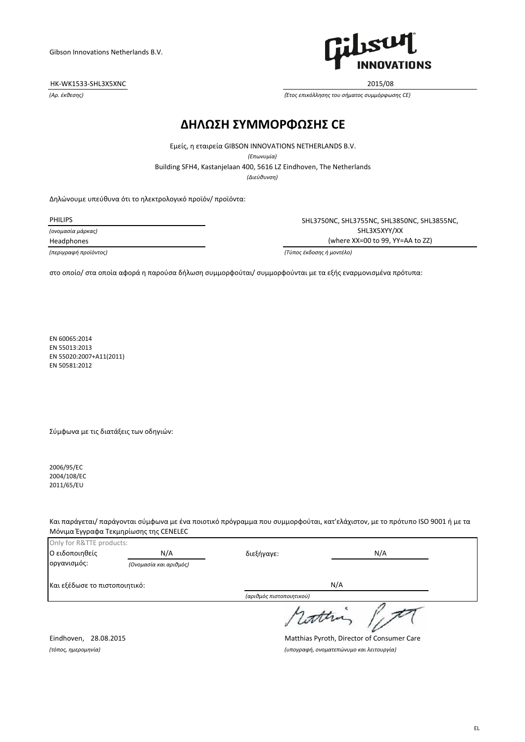HK-WK1533-SHL3X5XNC 2015/08



*(Αρ. έκθεσης) (Έτος επικόλλησης του σήματος συμμόρφωσης CE)*

## **ΔΗΛΩΣΗ ΣΥΜΜΟΡΦΩΣΗΣ CE**

*(Διεύθυνση)* Building SFH4, Kastanjelaan 400, 5616 LZ Eindhoven, The Netherlands Εμείς, η εταιρεία GIBSON INNOVATIONS NETHERLANDS B.V. *(Επωνυμία)*

Δηλώνουμε υπεύθυνα ότι το ηλεκτρολογικό προϊόν/ προϊόντα:

*(ονομασία μάρκας)*

PHILIPS SHL3750NC, SHL3755NC, SHL3850NC, SHL3855NC, SHL3X5XYY/XX Headphones (where XX=00 to 99, YY=AA to ZZ)

*(περιγραφή προϊόντος) (Τύπος έκδοσης ή μοντέλο)*

στο οποίο/ στα οποία αφορά η παρούσα δήλωση συμμορφούται/ συμμορφούνται με τα εξής εναρμονισμένα πρότυπα:

EN 60065:2014 EN 55013:2013 EN 55020:2007+A11(2011) EN 50581:2012

Σύμφωνα με τις διατάξεις των οδηγιών:

2006/95/EC 2004/108/EC 2011/65/EU

Και παράγεται/ παράγονται σύμφωνα με ένα ποιοτικό πρόγραμμα που συμμορφούται, κατ'ελάχιστον, με το πρότυπο ISO 9001 ή με τα Μόνιμα Έγγραφα Τεκμηρίωσης της CENELEC

| Only for R&TTE products:      |                        |                          |          |
|-------------------------------|------------------------|--------------------------|----------|
| Ο ειδοποιηθείς                | N/A                    | διεξήγαγε:               | N/A      |
| οργανισμός:                   | (Ονομασία και αριθμός) |                          |          |
| Και εξέδωσε το πιστοποιητικό: |                        |                          | N/A      |
|                               |                        | (αριθμός πιστοποιητικού) |          |
|                               |                        |                          | , cather |

Eindhoven, 28.08.2015 Matthias Pyroth, Director of Consumer Care *(τόπος, ημερομηνία) (υπογραφή, ονοματεπώνυμο και λειτουργία)*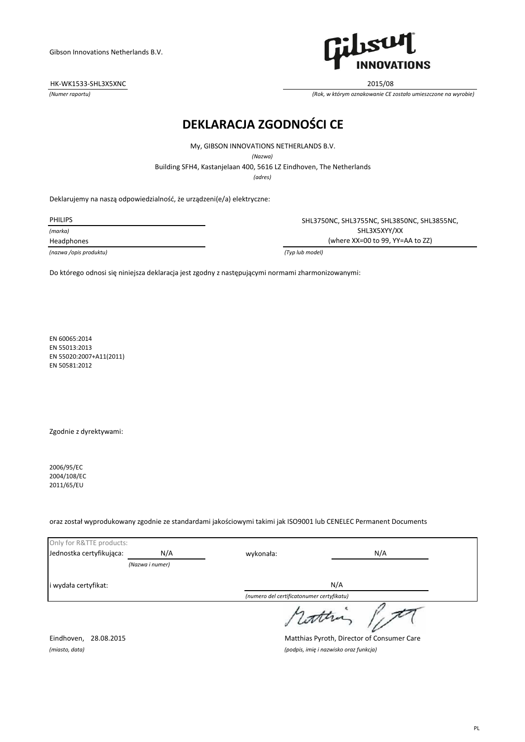HK-WK1533-SHL3X5XNC 2015/08



*(Numer raportu) (Rok, w którym oznakowanie CE zostało umieszczone na wyrobie)*

# **DEKLARACJA ZGODNOŚCI CE**

My, GIBSON INNOVATIONS NETHERLANDS B.V.

*(Nazwa)*

Building SFH4, Kastanjelaan 400, 5616 LZ Eindhoven, The Netherlands

*(adres)*

Deklarujemy na naszą odpowiedzialność, że urządzeni(e/a) elektryczne:

*(marka)*

*(nazwa /opis produktu) (Typ lub model)*

PHILIPS SHL3750NC, SHL3755NC, SHL3850NC, SHL3855NC, SHL3X5XYY/XX Headphones (where XX=00 to 99, YY=AA to ZZ)

Do którego odnosi się niniejsza deklaracja jest zgodny z następującymi normami zharmonizowanymi:

EN 60065:2014 EN 55013:2013 EN 55020:2007+A11(2011) EN 50581:2012

Zgodnie z dyrektywami:

2006/95/EC 2004/108/EC 2011/65/EU

oraz został wyprodukowany zgodnie ze standardami jakościowymi takimi jak ISO9001 lub CENELEC Permanent Documents

| Only for R&TTE products: |                 |                                           |     |
|--------------------------|-----------------|-------------------------------------------|-----|
| Jednostka certyfikująca: | N/A             | wykonała:                                 | N/A |
|                          | (Nazwa i numer) |                                           |     |
| i wydała certyfikat:     |                 |                                           | N/A |
|                          |                 | (numero del certificatonumer certyfikatu) |     |
|                          |                 | atten                                     |     |

Eindhoven, 28.08.2015 Matthias Pyroth, Director of Consumer Care *(miasto, data) (podpis, imię i nazwisko oraz funkcja)*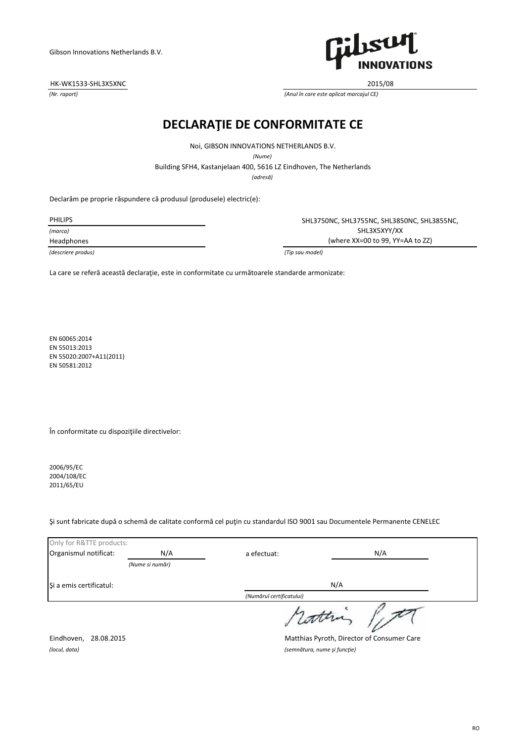HK-WK1533-SHL3X5XNC 2015/08



*(Nr. raport) (Anul în care este aplicat marcajul CE)*

# **DECLARAŢIE DE CONFORMITATE CE**

Noi, GIBSON INNOVATIONS NETHERLANDS B.V.

*(Nume)*

Building SFH4, Kastanjelaan 400, 5616 LZ Eindhoven, The Netherlands

*(adresă)*

Declarăm pe proprie răspundere că produsul (produsele) electric(e):

*(marca)*

*(descriere produs) (Tip sau model)*

PHILIPS SHL3750NC, SHL3755NC, SHL3850NC, SHL3855NC, SHL3X5XYY/XX Headphones (where XX=00 to 99, YY=AA to ZZ)

La care se referă această declaraţie, este in conformitate cu următoarele standarde armonizate:

EN 60065:2014 EN 55013:2013 EN 55020:2007+A11(2011) EN 50581:2012

În conformitate cu dispoziţiile directivelor:

2006/95/EC 2004/108/EC 2011/65/EU

Şi sunt fabricate după o schemă de calitate conformă cel puţin cu standardul ISO 9001 sau Documentele Permanente CENELEC

| Only for R&TTE products: |                 |                          |     |
|--------------------------|-----------------|--------------------------|-----|
| Organismul notificat:    | N/A             | a efectuat:              | N/A |
|                          | (Nume si număr) |                          |     |
| Si a emis certificatul:  |                 |                          | N/A |
|                          |                 | (Numărul certificatului) |     |
|                          |                 | dathi                    |     |

*(locul, data) (semnătura, nume şi funcţie)*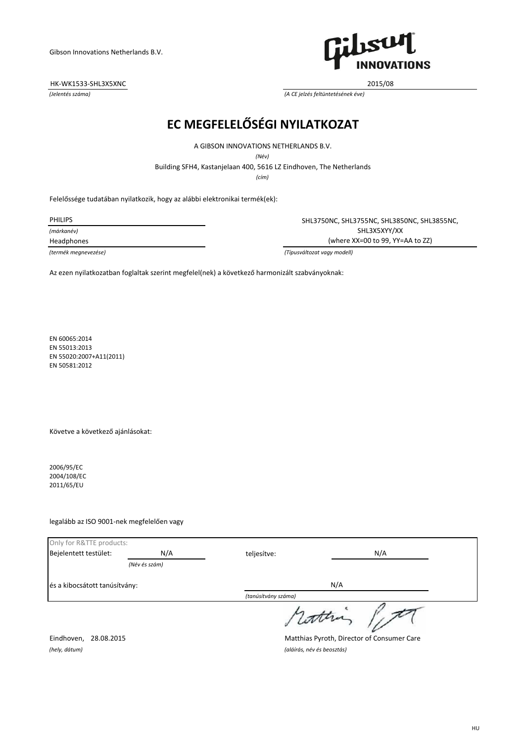## HK-WK1533-SHL3X5XNC 2015/08



*(Jelentés száma) (A CE jelzés feltüntetésének éve)*

# **EC MEGFELELŐSÉGI NYILATKOZAT**

A GIBSON INNOVATIONS NETHERLANDS B.V.

*(Név)*

Building SFH4, Kastanjelaan 400, 5616 LZ Eindhoven, The Netherlands

*(cím)*

Felelőssége tudatában nyilatkozik, hogy az alábbi elektronikai termék(ek):

*(márkanév)*

PHILIPS SHL3750NC, SHL3755NC, SHL3850NC, SHL3855NC, SHL3X5XYY/XX Headphones (where XX=00 to 99, YY=AA to ZZ)

*(termék megnevezése) (Típusváltozat vagy modell)*

Az ezen nyilatkozatban foglaltak szerint megfelel(nek) a következő harmonizált szabványoknak:

EN 60065:2014 EN 55013:2013 EN 55020:2007+A11(2011) EN 50581:2012

Követve a következő ajánlásokat:

2006/95/EC 2004/108/EC 2011/65/EU

## legalább az ISO 9001-nek megfelelően vagy

| Only for R&TTE products:      |               |                     |     |
|-------------------------------|---------------|---------------------|-----|
| Bejelentett testület:         | N/A           | teljesítve:         | N/A |
|                               | (Név és szám) |                     |     |
| és a kibocsátott tanúsítvány: |               |                     | N/A |
|                               |               | (tanúsítvány száma) |     |
|                               |               | rottin              |     |

Eindhoven, 28.08.2015 Matthias Pyroth, Director of Consumer Care

*(hely, dátum) (aláírás, név és beosztás)*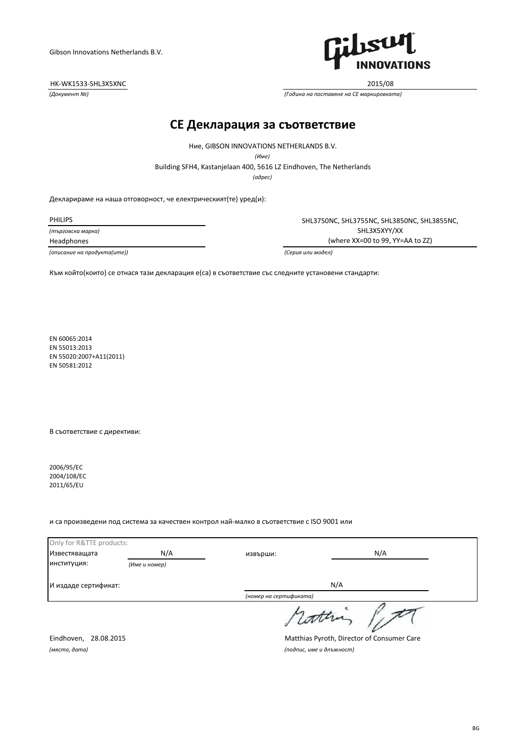## HK-WK1533-SHL3X5XNC 2015/08



*(Документ №) (Година на поставяне на CE маркировката)*

## **CE Декларация за съответствие**

Building SFH4, Kastanjelaan 400, 5616 LZ Eindhoven, The Netherlands Ние, GIBSON INNOVATIONS NETHERLANDS B.V. *(Име)*

*(адрес)*

Декларираме на наша отговорност, че електрическият(те) уред(и):

*(търговска марка)*

*(описание на продукта(ите)) (Серия или модел)*

PHILIPS SHL3750NC, SHL3755NC, SHL3850NC, SHL3855NC, SHL3X5XYY/XX Headphones (where XX=00 to 99, YY=AA to ZZ)

Към който(които) се отнася тази декларация е(са) в съответствие със следните установени стандарти:

EN 60065:2014 EN 55013:2013 EN 55020:2007+A11(2011) EN 50581:2012

В съответствие с директиви:

2006/95/EC 2004/108/EC 2011/65/EU

#### и са произведени под система за качествен контрол най-малко в съответствие с ISO 9001 или

| Only for R&TTE products: |               |                        |     |  |
|--------------------------|---------------|------------------------|-----|--|
| Известяващата            | N/A           | извърши:               | N/A |  |
| институция:              | (Име и номер) |                        |     |  |
| И издаде сертификат:     |               | N/A                    |     |  |
|                          |               | (номер на сертификата) |     |  |
|                          |               | rottra                 |     |  |

*(място, дата) (подпис, име и длъжност)*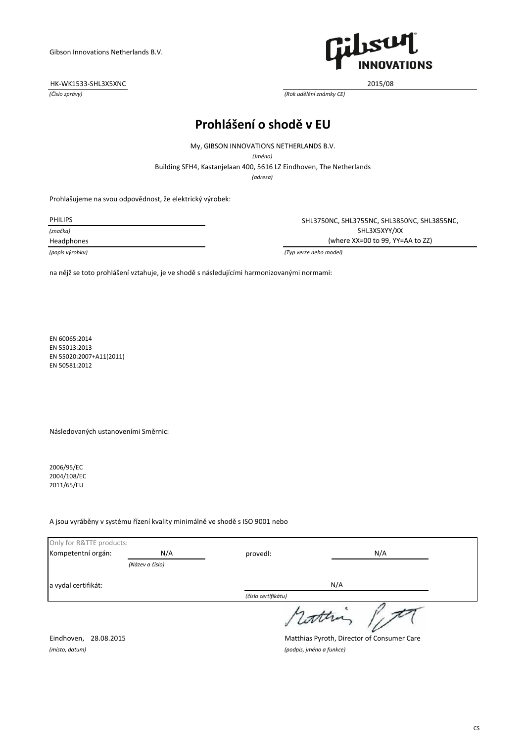## HK-WK1533-SHL3X5XNC 2015/08



*(Číslo zprávy) (Rok udělění známky CE)*

# **Prohlášení o shodě v EU**

My, GIBSON INNOVATIONS NETHERLANDS B.V.

*(Jméno)*

Building SFH4, Kastanjelaan 400, 5616 LZ Eindhoven, The Netherlands

*(adresa)*

Prohlašujeme na svou odpovědnost, že elektrický výrobek:

| <b>PHILIPS</b>  | SHL3750NC, SHL3755NC, SHL3850NC, SHL3855NC, |
|-----------------|---------------------------------------------|
| (značka)        | SHL3X5XYY/XX                                |
| Headphones      | (where $XX=00$ to 99, $YY=AA$ to ZZ)        |
| (popis výrobku) | (Typ verze nebo model)                      |

na nějž se toto prohlášení vztahuje, je ve shodě s následujícími harmonizovanými normami:

EN 60065:2014 EN 55013:2013 EN 55020:2007+A11(2011) EN 50581:2012

Následovaných ustanoveními Směrnic:

2006/95/EC 2004/108/EC 2011/65/EU

### A jsou vyráběny v systému řízení kvality minimálně ve shodě s ISO 9001 nebo

| Only for R&TTE products: |                 |                     |     |  |
|--------------------------|-----------------|---------------------|-----|--|
| Kompetentní orgán:       | N/A             | provedl:            | N/A |  |
|                          | (Název a číslo) |                     |     |  |
| a vydal certifikát:      |                 |                     | N/A |  |
|                          |                 | (číslo certifikátu) |     |  |
|                          |                 | rottin              |     |  |

Eindhoven, 28.08.2015 Matthias Pyroth, Director of Consumer Care

*(místo, datum) (podpis, jméno a funkce)*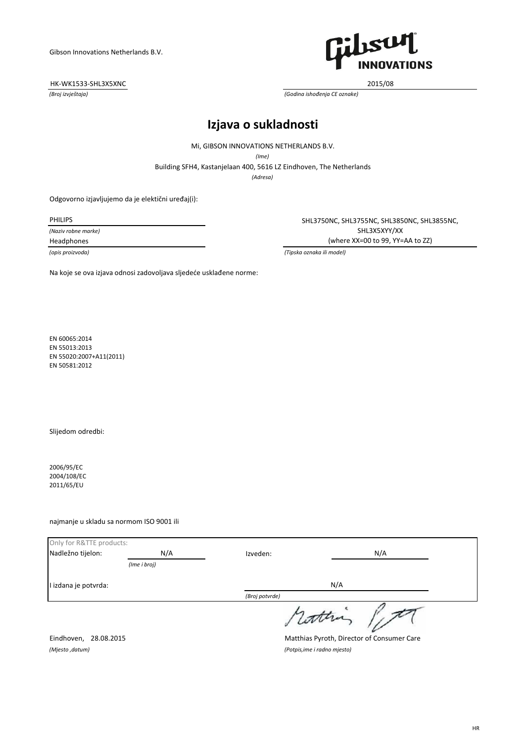## HK-WK1533-SHL3X5XNC 2015/08



*(Broj izvještaja) (Godina ishođenja CE oznake)*

## **Izjava o sukladnosti**

Mi, GIBSON INNOVATIONS NETHERLANDS B.V.

*(Ime)*

Building SFH4, Kastanjelaan 400, 5616 LZ Eindhoven, The Netherlands

*(Adresa)*

Odgovorno izjavljujemo da je elektični uređaj(i):

*(Naziv robne marke)*

PHILIPS **SHL3750NC, SHL3755NC, SHL3850NC, SHL3855NC** SHL3X5XYY/XX Headphones (where XX=00 to 99, YY=AA to ZZ)

*(opis proizvoda) (Tipska oznaka ili model)*

Na koje se ova izjava odnosi zadovoljava sljedeće usklađene norme:

EN 60065:2014 EN 55013:2013 EN 55020:2007+A11(2011) EN 50581:2012

Slijedom odredbi:

2006/95/EC 2004/108/EC 2011/65/EU

najmanje u skladu sa normom ISO 9001 ili

| Only for R&TTE products: |              |                |       |
|--------------------------|--------------|----------------|-------|
| Nadležno tijelon:        | N/A          | Izveden:       | N/A   |
|                          | (Ime i broj) |                |       |
| I izdana je potvrda:     |              |                | N/A   |
|                          |              | (Broj potvrde) |       |
|                          |              |                | dathi |

Eindhoven, 28.08.2015 Matthias Pyroth, Director of Consumer Care

*(Mjesto ,datum) (Potpis,ime i radno mjesto)*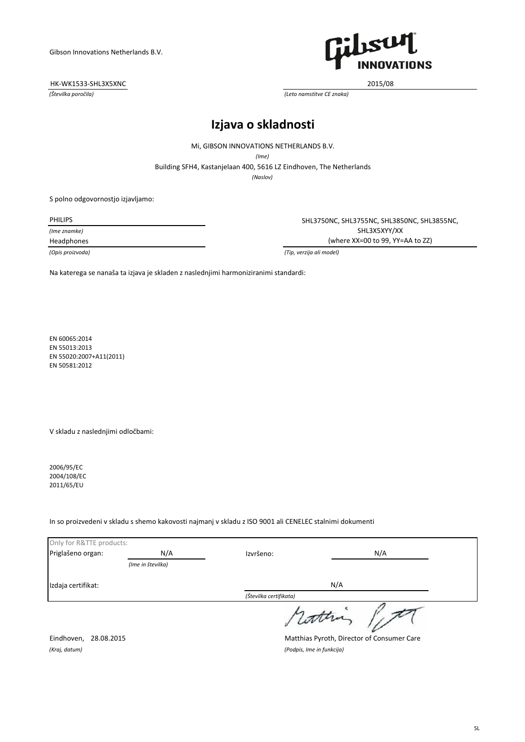### HK-WK1533-SHL3X5XNC 2015/08



*(Številka poročila) (Leto namstitve CE znaka)*

# **Izjava o skladnosti**

Mi, GIBSON INNOVATIONS NETHERLANDS B.V.

*(Ime)*

Building SFH4, Kastanjelaan 400, 5616 LZ Eindhoven, The Netherlands

*(Naslov)*

S polno odgovornostjo izjavljamo:

*(Ime znamke)*

PHILIPS **SHL3750NC, SHL3755NC, SHL3850NC, SHL3855NC** SHL3X5XYY/XX Headphones (where XX=00 to 99, YY=AA to ZZ)

*(Opis proizvoda) (Tip, verzija ali model)*

Na katerega se nanaša ta izjava je skladen z naslednjimi harmoniziranimi standardi:

EN 60065:2014 EN 55013:2013 EN 55020:2007+A11(2011) EN 50581:2012

V skladu z naslednjimi odločbami:

2006/95/EC 2004/108/EC 2011/65/EU

### In so proizvedeni v skladu s shemo kakovosti najmanj v skladu z ISO 9001 ali CENELEC stalnimi dokumenti

| Only for R&TTE products: |                   |                        |
|--------------------------|-------------------|------------------------|
| Priglašeno organ:        | N/A               | N/A<br>Izvršeno:       |
|                          | (Ime in številka) |                        |
| Izdaja certifikat:       |                   | N/A                    |
|                          |                   | (Številka certifikata) |
|                          |                   | rottin                 |

*(Kraj, datum) (Podpis, Ime in funkcija)*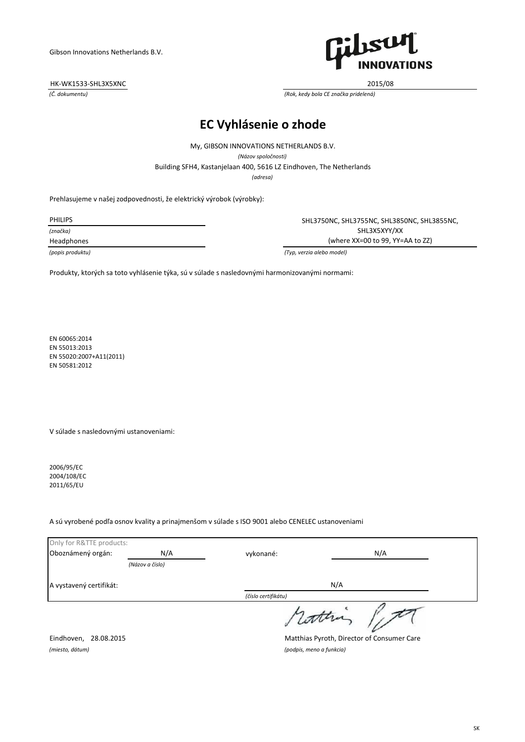## HK-WK1533-SHL3X5XNC 2015/08



*(Č. dokumentu) (Rok, kedy bola CE značka pridelená)*

# **EC Vyhlásenie o zhode**

My, GIBSON INNOVATIONS NETHERLANDS B.V.

*(Názov spoločnosti)*

Building SFH4, Kastanjelaan 400, 5616 LZ Eindhoven, The Netherlands

*(adresa)*

Prehlasujeme v našej zodpovednosti, že elektrický výrobok (výrobky):

*(značka)*

PHILIPS SHL3750NC, SHL3755NC, SHL3850NC, SHL3855NC, SHL3X5XYY/XX Headphones (where XX=00 to 99, YY=AA to ZZ)

*(popis produktu) (Typ, verzia alebo model)*

Produkty, ktorých sa toto vyhlásenie týka, sú v súlade s nasledovnými harmonizovanými normami:

EN 60065:2014 EN 55013:2013 EN 55020:2007+A11(2011) EN 50581:2012

V súlade s nasledovnými ustanoveniami:

2006/95/EC 2004/108/EC 2011/65/EU

### A sú vyrobené podľa osnov kvality a prinajmenšom v súlade s ISO 9001 alebo CENELEC ustanoveniami

| Only for R&TTE products: |                 |                     |
|--------------------------|-----------------|---------------------|
| Oboznámený orgán:        | N/A             | N/A<br>vykonané:    |
|                          | (Názov a číslo) |                     |
| A vystavený certifikát:  |                 | N/A                 |
|                          |                 | (číslo certifikátu) |
|                          |                 | rottin              |

*(miesto, dátum) (podpis, meno a funkcia)*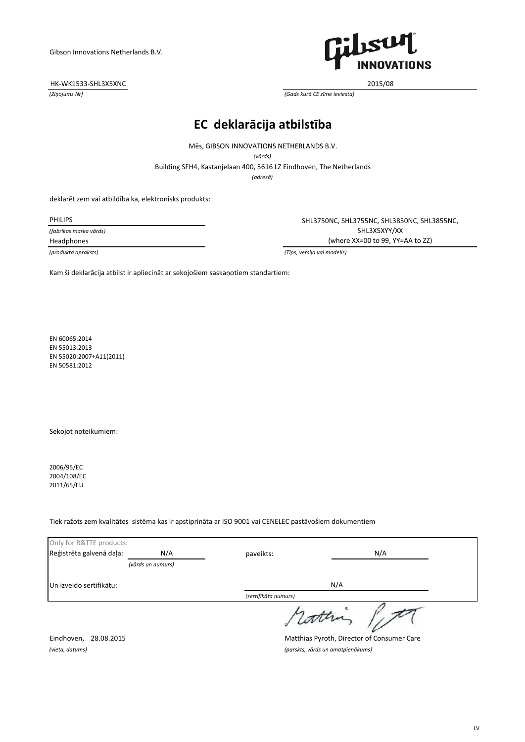## HK-WK1533-SHL3X5XNC 2015/08



*(Ziņojums Nr) (Gads kurā CE zīme ieviesta)*

# **EC deklarācija atbilstība**

Building SFH4, Kastanjelaan 400, 5616 LZ Eindhoven, The Netherlands Mēs, GIBSON INNOVATIONS NETHERLANDS B.V. *(vārds)*

*(adresă)*

deklarēt zem vai atbildība ka, elektronisks produkts:

*(fabrikas marka vārds)*

PHILIPS SHL3750NC, SHL3755NC, SHL3850NC, SHL3855NC, SHL3X5XYY/XX Headphones (where XX=00 to 99, YY=AA to ZZ)

*(produkta apraksts) (Tips, versija vai modelis)*

Kam ši deklarācija atbilst ir apliecināt ar sekojošiem saskaņotiem standartiem:

EN 60065:2014 EN 55013:2013 EN 55020:2007+A11(2011) EN 50581:2012

Sekojot noteikumiem:

2006/95/EC 2004/108/EC 2011/65/EU

## Tiek ražots zem kvalitātes sistēma kas ir apstiprināta ar ISO 9001 vai CENELEC pastāvošiem dokumentiem

| Only for R&TTE products: |                   |                      |     |
|--------------------------|-------------------|----------------------|-----|
| Reģistrēta galvenā daļa: | N/A               | paveikts:            | N/A |
|                          | (vārds un numurs) |                      |     |
| Un izveido sertifikātu:  |                   | N/A                  |     |
|                          |                   | (sertifikāta numurs) |     |
|                          |                   | cathia               |     |

Eindhoven, 28.08.2015 Matthias Pyroth, Director of Consumer Care *(vieta, datums) (parskts, vārds un amatpienākums)*

LV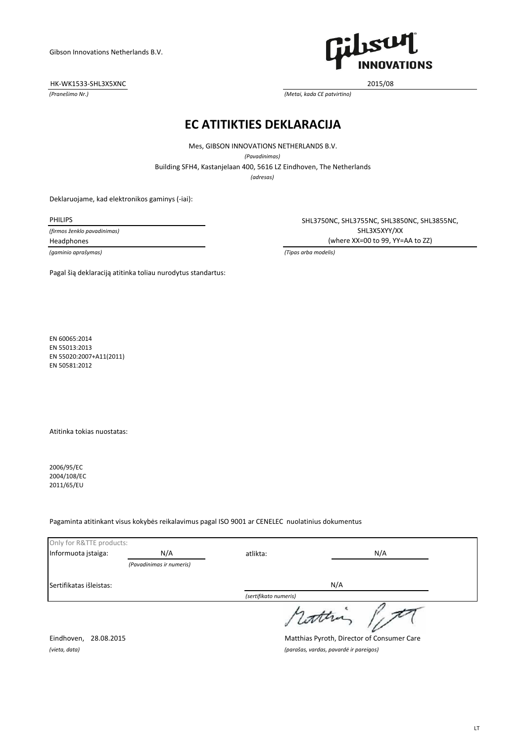HK-WK1533-SHL3X5XNC 2015/08



*(Pranešimo Nr.) (Metai, kada CE patvirtino)*

## **EC ATITIKTIES DEKLARACIJA**

Building SFH4, Kastanjelaan 400, 5616 LZ Eindhoven, The Netherlands Mes, GIBSON INNOVATIONS NETHERLANDS B.V. *(Pavadinimas) (adresas)*

Deklaruojame, kad elektronikos gaminys (-iai):

*(firmos ženklo pavadinimas)*

*(gaminio aprašymas) (Tipas arba modelis)*

PHILIPS SHL3750NC, SHL3755NC, SHL3850NC, SHL3855NC, SHL3X5XYY/XX Headphones (where XX=00 to 99, YY=AA to ZZ)

Pagal šią deklaraciją atitinka toliau nurodytus standartus:

EN 60065:2014 EN 55013:2013 EN 55020:2007+A11(2011) EN 50581:2012

Atitinka tokias nuostatas:

2006/95/EC 2004/108/EC 2011/65/EU

### Pagaminta atitinkant visus kokybės reikalavimus pagal ISO 9001 ar CENELEC nuolatinius dokumentus

| Only for R&TTE products: |                          |                                            |     |  |
|--------------------------|--------------------------|--------------------------------------------|-----|--|
| Informuota įstaiga:      | N/A                      | atlikta:                                   | N/A |  |
|                          | (Pavadinimas ir numeris) |                                            |     |  |
| Sertifikatas išleistas:  |                          |                                            | N/A |  |
|                          |                          | (sertifikato numeris)                      |     |  |
|                          |                          |                                            |     |  |
| Eindhoven, 28.08.2015    |                          | Matthias Pyroth, Director of Consumer Care |     |  |

*(vieta, data) (parašas, vardas, pavardė ir pareigos)*